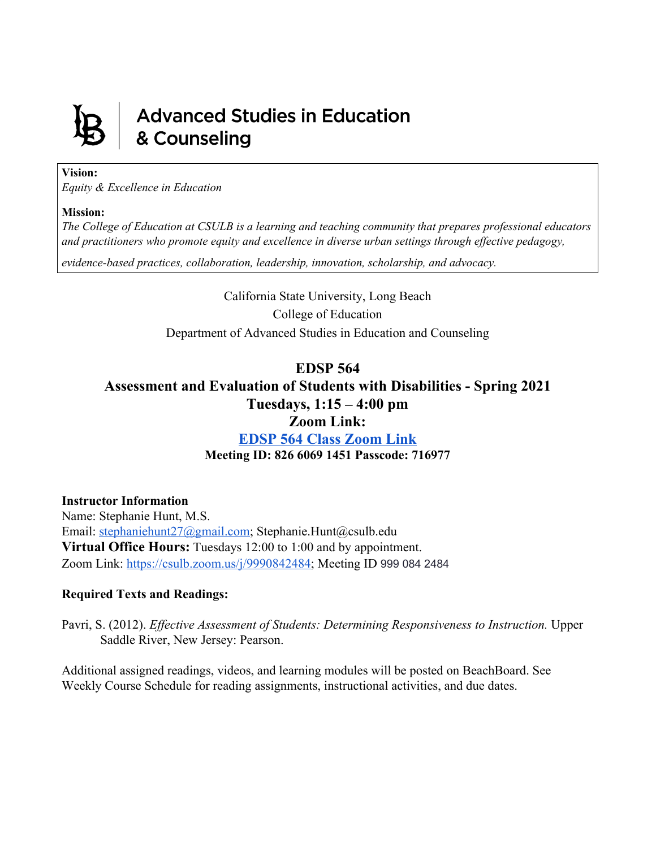

# **Advanced Studies in Education** & Counseling

#### **Vision:**

*Equity & Excellence in Education*

#### **Mission:**

*The College of Education at CSULB is a learning and teaching community that prepares professional educators and practitioners who promote equity and excellence in diverse urban settings through ef ective pedagogy,*

*evidence-based practices, collaboration, leadership, innovation, scholarship, and advocacy.*

California State University, Long Beach College of Education Department of Advanced Studies in Education and Counseling

## **EDSP 564**

## **Assessment and Evaluation of Students with Disabilities - Spring 2021 Tuesdays, 1:15 – 4:00 pm**

## **Zoom Link:**

**[EDSP](https://csulb.zoom.us/j/82660691451?pwd=SHAwMG9ZWGdHYXl4SlJsUGRDbkw2dz09) 564 Class Zoom Link Meeting ID: 826 6069 1451 Passcode: 716977**

## **Instructor Information**

Name: Stephanie Hunt, M.S. Email: [stephaniehunt27@gmail.com](mailto:stephaniehunt27@gmail.com); Stephanie.Hunt@csulb.edu **Virtual Office Hours:** Tuesdays 12:00 to 1:00 and by appointment. Zoom Link:<https://csulb.zoom.us/j/9990842484>; Meeting ID 999 084 2484

## **Required Texts and Readings:**

Pavri, S. (2012). *Effective Assessment of Students: Determining Responsiveness to Instruction.* Upper Saddle River, New Jersey: Pearson.

Additional assigned readings, videos, and learning modules will be posted on BeachBoard. See Weekly Course Schedule for reading assignments, instructional activities, and due dates.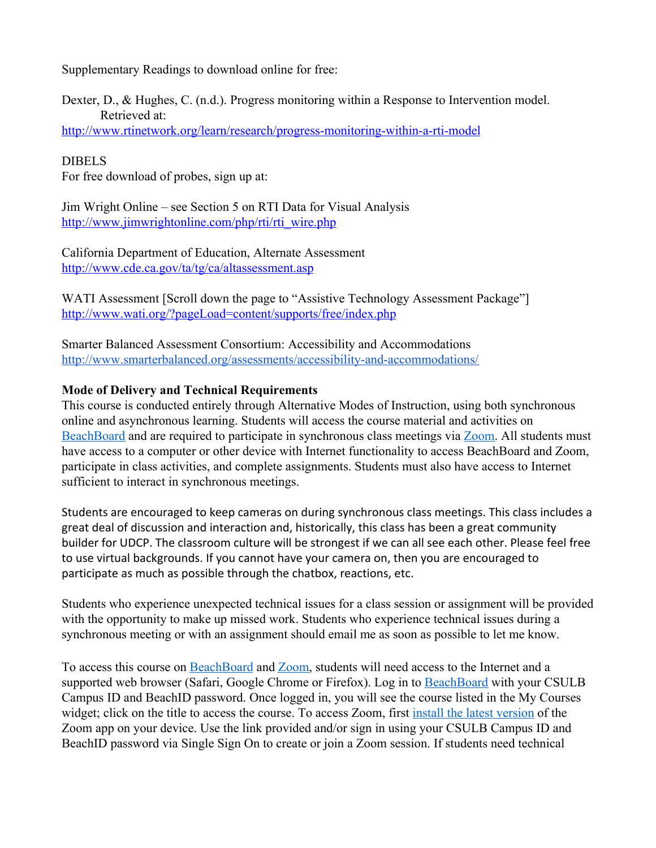Supplementary Readings to download online for free:

Dexter, D., & Hughes, C. (n.d.). Progress monitoring within a Response to Intervention model. Retrieved at:

<http://www.rtinetwork.org/learn/research/progress-monitoring-within-a-rti-model>

## DIBELS

For free download of probes, sign up at:

Jim Wright Online – see Section 5 on RTI Data for Visual Analysis [http://www.jimwrightonline.com/php/rti/rti\\_wire.php](http://www.jimwrightonline.com/php/rti/rti_wire.php)

California Department of Education, Alternate Assessment <http://www.cde.ca.gov/ta/tg/ca/altassessment.asp>

WATI Assessment [Scroll down the page to "Assistive Technology Assessment Package"] <http://www.wati.org/?pageLoad=content/supports/free/index.php>

Smarter Balanced Assessment Consortium: Accessibility and Accommodations <http://www.smarterbalanced.org/assessments/accessibility-and-accommodations/>

## **Mode of Delivery and Technical Requirements**

This course is conducted entirely through Alternative Modes of Instruction, using both synchronous online and asynchronous learning. Students will access the course material and activities on [BeachBoard](https://bbcsulb.desire2learn.com/d2l/home) and are required to participate in synchronous class meetings via [Zoom.](https://csulb.zoom.us/meeting) All students must have access to a computer or other device with Internet functionality to access BeachBoard and Zoom, participate in class activities, and complete assignments. Students must also have access to Internet sufficient to interact in synchronous meetings.

Students are encouraged to keep cameras on during synchronous class meetings. This class includes a great deal of discussion and interaction and, historically, this class has been a great community builder for UDCP. The classroom culture will be strongest if we can all see each other. Please feel free to use virtual backgrounds. If you cannot have your camera on, then you are encouraged to participate as much as possible through the chatbox, reactions, etc.

Students who experience unexpected technical issues for a class session or assignment will be provided with the opportunity to make up missed work. Students who experience technical issues during a synchronous meeting or with an assignment should email me as soon as possible to let me know.

To access this course on BeachBoard and [Zoom,](https://csulb.zoom.us/meeting) students will need access to the Internet and a supported web browser (Safari, Google Chrome or Firefox). Log in to [BeachBoard](https://bbcsulb.desire2learn.com/) with your CSULB Campus ID and BeachID password. Once logged in, you will see the course listed in the My Courses widget; click on the title to access the course. To access Zoom, first [install the latest version](https://zoom.us/download) of the Zoom app on your device. Use the link provided and/or sign in using your CSULB Campus ID and BeachID password via Single Sign On to create or join a Zoom session. If students need technical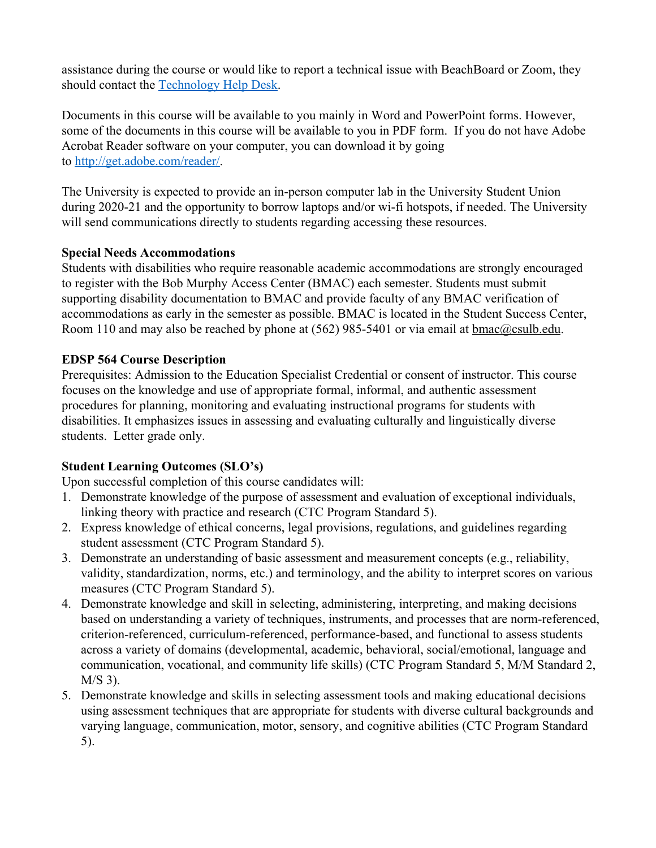assistance during the course or would like to report a technical issue with BeachBoard or Zoom, they should contact the [Technology Help Desk.](https://www.csulb.edu/academic-technology-services/academic-technology-resources-for-students)

Documents in this course will be available to you mainly in Word and PowerPoint forms. However, some of the documents in this course will be available to you in PDF form. If you do not have Adobe Acrobat Reader software on your computer, you can download it by going to [http://get.adobe.com/reader/.](http://get.adobe.com/reader/)

The University is expected to provide an in-person computer lab in the University Student Union during 2020-21 and the opportunity to borrow laptops and/or wi-fi hotspots, if needed. The University will send communications directly to students regarding accessing these resources.

## **Special Needs Accommodations**

Students with disabilities who require reasonable academic accommodations are strongly encouraged to register with the Bob Murphy Access Center (BMAC) each semester. Students must submit supporting disability documentation to BMAC and provide faculty of any BMAC verification of accommodations as early in the semester as possible. BMAC is located in the Student Success Center, Room 110 and may also be reached by phone at (562) 985-5401 or via email at **bmac**@csulb.edu.

## **EDSP 564 Course Description**

Prerequisites: Admission to the Education Specialist Credential or consent of instructor. This course focuses on the knowledge and use of appropriate formal, informal, and authentic assessment procedures for planning, monitoring and evaluating instructional programs for students with disabilities. It emphasizes issues in assessing and evaluating culturally and linguistically diverse students. Letter grade only.

## **Student Learning Outcomes (SLO's)**

Upon successful completion of this course candidates will:

- 1. Demonstrate knowledge of the purpose of assessment and evaluation of exceptional individuals, linking theory with practice and research (CTC Program Standard 5).
- 2. Express knowledge of ethical concerns, legal provisions, regulations, and guidelines regarding student assessment (CTC Program Standard 5).
- 3. Demonstrate an understanding of basic assessment and measurement concepts (e.g., reliability, validity, standardization, norms, etc.) and terminology, and the ability to interpret scores on various measures (CTC Program Standard 5).
- 4. Demonstrate knowledge and skill in selecting, administering, interpreting, and making decisions based on understanding a variety of techniques, instruments, and processes that are norm-referenced, criterion-referenced, curriculum-referenced, performance-based, and functional to assess students across a variety of domains (developmental, academic, behavioral, social/emotional, language and communication, vocational, and community life skills) (CTC Program Standard 5, M/M Standard 2, M/S 3).
- 5. Demonstrate knowledge and skills in selecting assessment tools and making educational decisions using assessment techniques that are appropriate for students with diverse cultural backgrounds and varying language, communication, motor, sensory, and cognitive abilities (CTC Program Standard 5).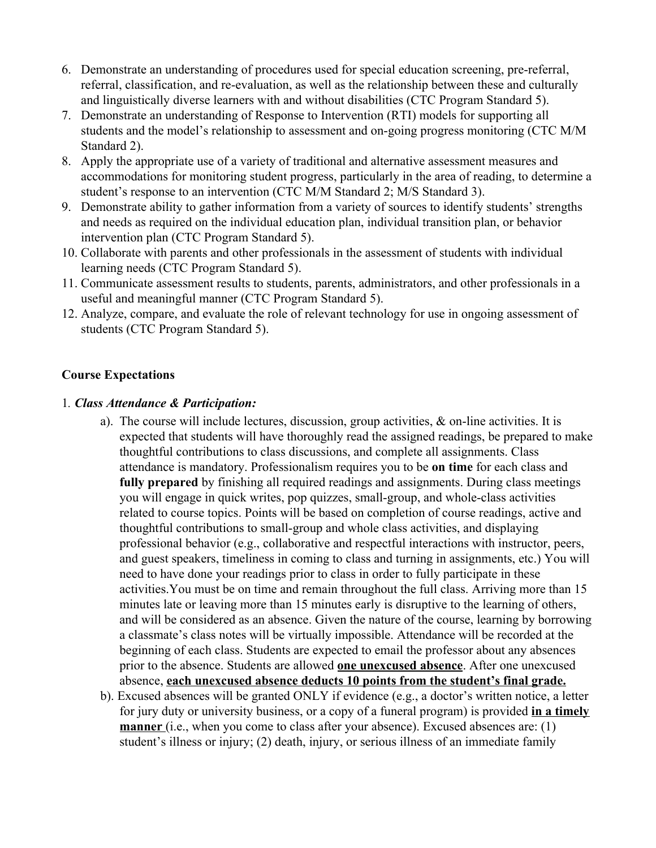- 6. Demonstrate an understanding of procedures used for special education screening, pre-referral, referral, classification, and re-evaluation, as well as the relationship between these and culturally and linguistically diverse learners with and without disabilities (CTC Program Standard 5).
- 7. Demonstrate an understanding of Response to Intervention (RTI) models for supporting all students and the model's relationship to assessment and on-going progress monitoring (CTC M/M Standard 2).
- 8. Apply the appropriate use of a variety of traditional and alternative assessment measures and accommodations for monitoring student progress, particularly in the area of reading, to determine a student's response to an intervention (CTC M/M Standard 2; M/S Standard 3).
- 9. Demonstrate ability to gather information from a variety of sources to identify students' strengths and needs as required on the individual education plan, individual transition plan, or behavior intervention plan (CTC Program Standard 5).
- 10. Collaborate with parents and other professionals in the assessment of students with individual learning needs (CTC Program Standard 5).
- 11. Communicate assessment results to students, parents, administrators, and other professionals in a useful and meaningful manner (CTC Program Standard 5).
- 12. Analyze, compare, and evaluate the role of relevant technology for use in ongoing assessment of students (CTC Program Standard 5).

## **Course Expectations**

#### 1*. Class Attendance & Participation:*

- a). The course will include lectures, discussion, group activities,  $\&$  on-line activities. It is expected that students will have thoroughly read the assigned readings, be prepared to make thoughtful contributions to class discussions, and complete all assignments. Class attendance is mandatory. Professionalism requires you to be **on time** for each class and **fully prepared** by finishing all required readings and assignments. During class meetings you will engage in quick writes, pop quizzes, small-group, and whole-class activities related to course topics. Points will be based on completion of course readings, active and thoughtful contributions to small-group and whole class activities, and displaying professional behavior (e.g., collaborative and respectful interactions with instructor, peers, and guest speakers, timeliness in coming to class and turning in assignments, etc.) You will need to have done your readings prior to class in order to fully participate in these activities.You must be on time and remain throughout the full class. Arriving more than 15 minutes late or leaving more than 15 minutes early is disruptive to the learning of others, and will be considered as an absence. Given the nature of the course, learning by borrowing a classmate's class notes will be virtually impossible. Attendance will be recorded at the beginning of each class. Students are expected to email the professor about any absences prior to the absence. Students are allowed **one unexcused absence**. After one unexcused absence, **each unexcused absence deducts 10 points from the student's final grade.**
- b). Excused absences will be granted ONLY if evidence (e.g., a doctor's written notice, a letter for jury duty or university business, or a copy of a funeral program) is provided **in a timely manner** (i.e., when you come to class after your absence). Excused absences are: (1) student's illness or injury; (2) death, injury, or serious illness of an immediate family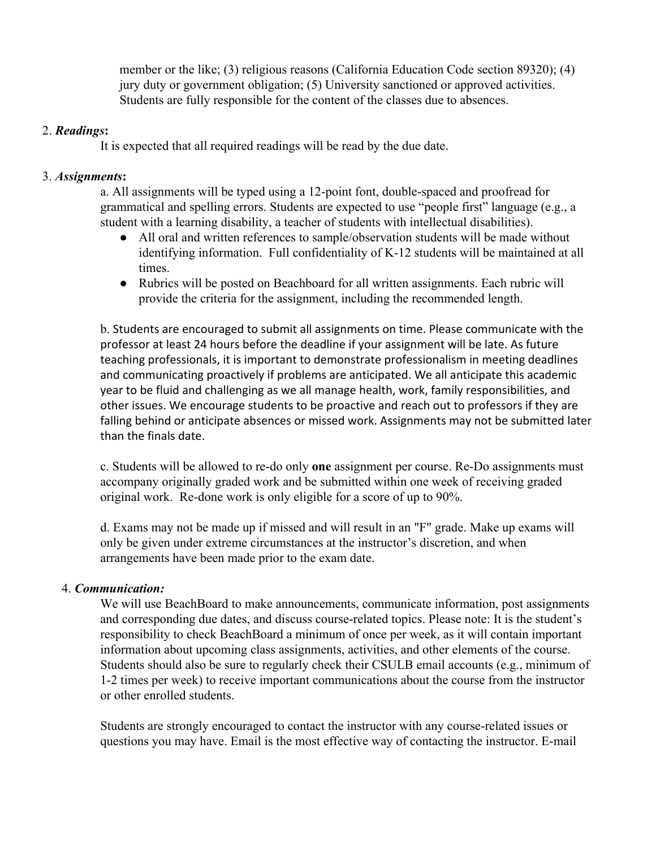member or the like; (3) religious reasons (California Education Code section 89320); (4) jury duty or government obligation; (5) University sanctioned or approved activities. Students are fully responsible for the content of the classes due to absences.

## 2. *Readings***:**

It is expected that all required readings will be read by the due date.

## 3. *Assignments***:**

 a. All assignments will be typed using a 12-point font, double-spaced and proofread for grammatical and spelling errors. Students are expected to use "people first" language (e.g., a student with a learning disability, a teacher of students with intellectual disabilities).

- All oral and written references to sample/observation students will be made without identifying information. Full confidentiality of K-12 students will be maintained at all times.
- Rubrics will be posted on Beachboard for all written assignments. Each rubric will provide the criteria for the assignment, including the recommended length.

b. Students are encouraged to submit all assignments on time. Please communicate with the professor at least 24 hours before the deadline if your assignment will be late. As future teaching professionals, it is important to demonstrate professionalism in meeting deadlines and communicating proactively if problems are anticipated. We all anticipate this academic year to be fluid and challenging as we all manage health, work, family responsibilities, and other issues. We encourage students to be proactive and reach out to professors if they are falling behind or anticipate absences or missed work. Assignments may not be submitted later than the finals date.

c. Students will be allowed to re-do only **one** assignment per course. Re-Do assignments must accompany originally graded work and be submitted within one week of receiving graded original work. Re-done work is only eligible for a score of up to 90%.

d. Exams may not be made up if missed and will result in an "F" grade. Make up exams will only be given under extreme circumstances at the instructor's discretion, and when arrangements have been made prior to the exam date.

## 4. *Communication:*

We will use BeachBoard to make announcements, communicate information, post assignments and corresponding due dates, and discuss course-related topics. Please note: It is the student's responsibility to check BeachBoard a minimum of once per week, as it will contain important information about upcoming class assignments, activities, and other elements of the course. Students should also be sure to regularly check their CSULB email accounts (e.g., minimum of 1-2 times per week) to receive important communications about the course from the instructor or other enrolled students.

Students are strongly encouraged to contact the instructor with any course-related issues or questions you may have. Email is the most effective way of contacting the instructor. E-mail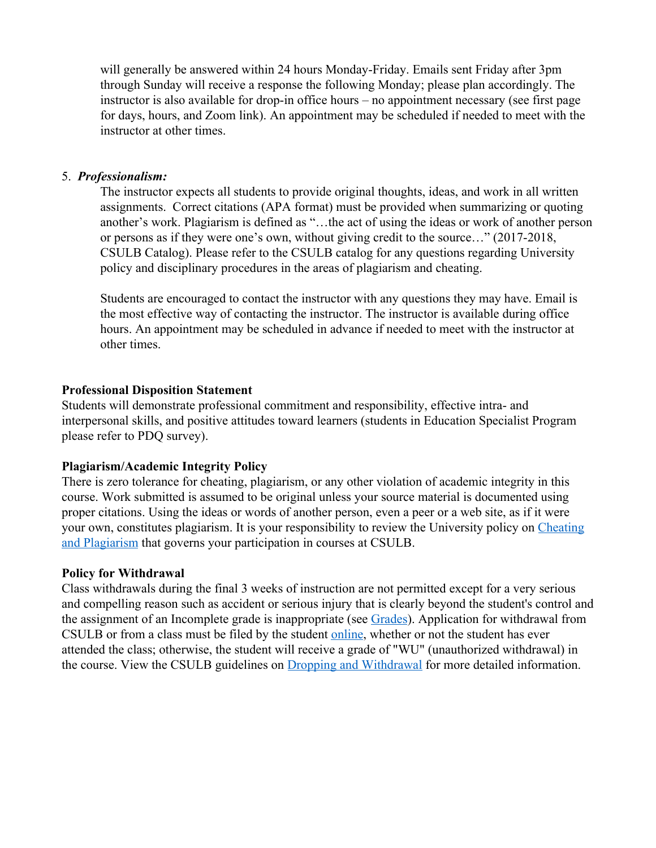will generally be answered within 24 hours Monday-Friday. Emails sent Friday after 3pm through Sunday will receive a response the following Monday; please plan accordingly. The instructor is also available for drop-in office hours – no appointment necessary (see first page for days, hours, and Zoom link). An appointment may be scheduled if needed to meet with the instructor at other times.

#### 5. *Professionalism:*

The instructor expects all students to provide original thoughts, ideas, and work in all written assignments. Correct citations (APA format) must be provided when summarizing or quoting another's work. Plagiarism is defined as "…the act of using the ideas or work of another person or persons as if they were one's own, without giving credit to the source…" (2017-2018, CSULB Catalog). Please refer to the CSULB catalog for any questions regarding University policy and disciplinary procedures in the areas of plagiarism and cheating.

Students are encouraged to contact the instructor with any questions they may have. Email is the most effective way of contacting the instructor. The instructor is available during office hours. An appointment may be scheduled in advance if needed to meet with the instructor at other times.

#### **Professional Disposition Statement**

Students will demonstrate professional commitment and responsibility, effective intra- and interpersonal skills, and positive attitudes toward learners (students in Education Specialist Program please refer to PDQ survey).

#### **Plagiarism/Academic Integrity Policy**

There is zero tolerance for cheating, plagiarism, or any other violation of academic integrity in this course. Work submitted is assumed to be original unless your source material is documented using proper citations. Using the ideas or words of another person, even a peer or a web site, as if it were your own, constitutes plagiarism. It is your responsibility to review the University policy on [Cheating](http://catalog.csulb.edu/content.php?catoid=5&navoid=369#cheating-and-plagiarism) [and Plagiarism](http://catalog.csulb.edu/content.php?catoid=5&navoid=369#cheating-and-plagiarism) that governs your participation in courses at CSULB.

#### **Policy for Withdrawal**

Class withdrawals during the final 3 weeks of instruction are not permitted except for a very serious and compelling reason such as accident or serious injury that is clearly beyond the student's control and the assignment of an Incomplete grade is inappropriate (see [Grades](http://www.csulb.edu/depts/enrollment/student_academic_records/grading.html)). Application for withdrawal from CSULB or from a class must be filed by the student [online](https://www.csulb.edu/student-records/dropping-and-withdrawing), whether or not the student has ever attended the class; otherwise, the student will receive a grade of "WU" (unauthorized withdrawal) in the course. View the CSULB guidelines on [Dropping and Withdrawal](https://www.csulb.edu/student-records/dropping-and-withdrawing#:~:text=Policy,after%20separation%20from%20the%20university.) for more detailed information.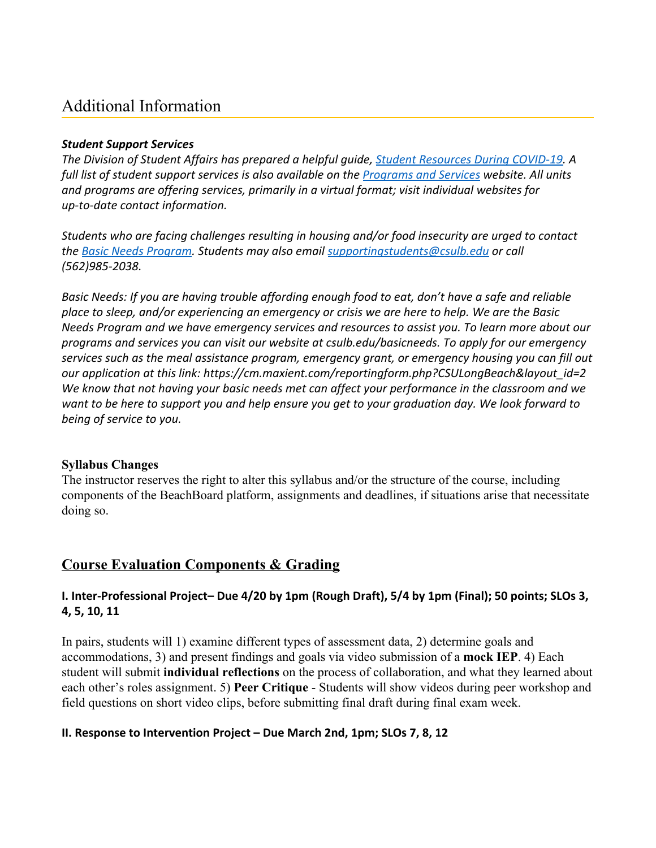## Additional Information

#### *Student Support Services*

*The Division of Student Affairs has prepared a helpful guide, [Student Resources During COVID-19.](https://rb.gy/ql7w8j) A full list of student support services is also available on the [Programs and Services](http://web.csulb.edu/divisions/students/programs.html) website. All units and programs are offering services, primarily in a virtual format; visit individual websites for up-to-date contact information.*

*Students who are facing challenges resulting in housing and/or food insecurity are urged to contact the [Basic Needs Program](http://web.csulb.edu/divisions/students/basic_needs_program/index.html). Students may also email supportingstudents@csulb.edu or call (562)985-2038.*

*Basic Needs: If you are having trouble affording enough food to eat, don't have a safe and reliable place to sleep, and/or experiencing an emergency or crisis we are here to help. We are the Basic Needs Program and we have emergency services and resources to assist you. To learn more about our programs and services you can visit our website at csulb.edu/basicneeds. To apply for our emergency services such as the meal assistance program, emergency grant, or emergency housing you can fill out our application at this link: https://cm.maxient.com/reportingform.php?CSULongBeach&layout\_id=2 We know that not having your basic needs met can affect your performance in the classroom and we want to be here to support you and help ensure you get to your graduation day. We look forward to being of service to you.*

## **Syllabus Changes**

The instructor reserves the right to alter this syllabus and/or the structure of the course, including components of the BeachBoard platform, assignments and deadlines, if situations arise that necessitate doing so.

## **Course Evaluation Components & Grading**

## **I. Inter-Professional Project– Due 4/20 by 1pm (Rough Draft), 5/4 by 1pm (Final); 50 points; SLOs 3, 4, 5, 10, 11**

In pairs, students will 1) examine different types of assessment data, 2) determine goals and accommodations, 3) and present findings and goals via video submission of a **mock IEP**. 4) Each student will submit **individual reflections** on the process of collaboration, and what they learned about each other's roles assignment. 5) **Peer Critique** - Students will show videos during peer workshop and field questions on short video clips, before submitting final draft during final exam week.

## **II. Response to Intervention Project – Due March 2nd, 1pm; SLOs 7, 8, 12**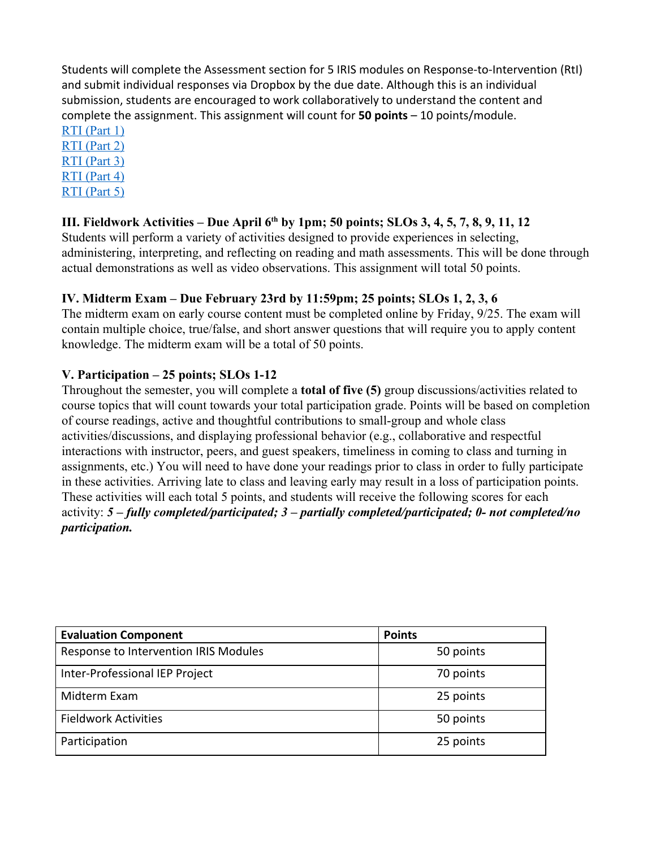Students will complete the Assessment section for 5 IRIS modules on Response-to-Intervention (RtI) and submit individual responses via Dropbox by the due date. Although this is an individual submission, students are encouraged to work collaboratively to understand the content and complete the assignment. This assignment will count for **50 points** – 10 points/module.

[RTI \(Part 1\)](https://iris.peabody.vanderbilt.edu/module/rti01/)

[RTI \(Part 2\)](https://iris.peabody.vanderbilt.edu/module/rti02/)

[RTI \(Part 3\)](https://iris.peabody.vanderbilt.edu/module/rti03/)

[RTI \(Part 4\)](https://iris.peabody.vanderbilt.edu/module/rti04/) [RTI \(Part 5\)](https://iris.peabody.vanderbilt.edu/module/rti05/)

## **III. Fieldwork Activities – Due April 6th by 1pm; 50 points; SLOs 3, 4, 5, 7, 8, 9, 11, 12**

Students will perform a variety of activities designed to provide experiences in selecting, administering, interpreting, and reflecting on reading and math assessments. This will be done through actual demonstrations as well as video observations. This assignment will total 50 points.

## **IV. Midterm Exam – Due February 23rd by 11:59pm; 25 points; SLOs 1, 2, 3, 6**

The midterm exam on early course content must be completed online by Friday, 9/25. The exam will contain multiple choice, true/false, and short answer questions that will require you to apply content knowledge. The midterm exam will be a total of 50 points.

## **V. Participation – 25 points; SLOs 1-12**

Throughout the semester, you will complete a **total of five (5)** group discussions/activities related to course topics that will count towards your total participation grade. Points will be based on completion of course readings, active and thoughtful contributions to small-group and whole class activities/discussions, and displaying professional behavior (e.g., collaborative and respectful interactions with instructor, peers, and guest speakers, timeliness in coming to class and turning in assignments, etc.) You will need to have done your readings prior to class in order to fully participate in these activities. Arriving late to class and leaving early may result in a loss of participation points. These activities will each total 5 points, and students will receive the following scores for each activity: *5 – fully completed/participated; 3 – partially completed/participated; 0- not completed/no participation.*

| <b>Evaluation Component</b>           | <b>Points</b> |
|---------------------------------------|---------------|
| Response to Intervention IRIS Modules | 50 points     |
| Inter-Professional IEP Project        | 70 points     |
| Midterm Exam                          | 25 points     |
| <b>Fieldwork Activities</b>           | 50 points     |
| Participation                         | 25 points     |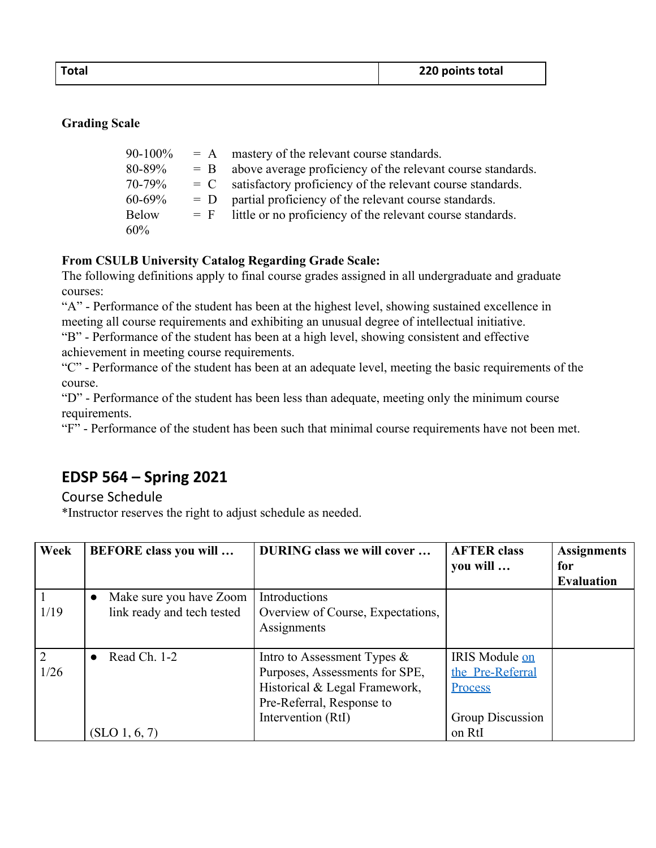## **Grading Scale**

| $90 - 100\%$ | $= A$ | mastery of the relevant course standards.                         |
|--------------|-------|-------------------------------------------------------------------|
| 80-89%       |       | $=$ B above average proficiency of the relevant course standards. |
| 70-79%       | $= C$ | satisfactory proficiency of the relevant course standards.        |
| $60 - 69\%$  | $= D$ | partial proficiency of the relevant course standards.             |
| <b>Below</b> |       | $=$ F little or no proficiency of the relevant course standards.  |
| 60%          |       |                                                                   |

## **From CSULB University Catalog Regarding Grade Scale:**

The following definitions apply to final course grades assigned in all undergraduate and graduate courses:

"A" - Performance of the student has been at the highest level, showing sustained excellence in meeting all course requirements and exhibiting an unusual degree of intellectual initiative.

"B" - Performance of the student has been at a high level, showing consistent and effective achievement in meeting course requirements.

"C" - Performance of the student has been at an adequate level, meeting the basic requirements of the course.

"D" - Performance of the student has been less than adequate, meeting only the minimum course requirements.

"F" - Performance of the student has been such that minimal course requirements have not been met.

## **EDSP 564 – Spring 2021**

## Course Schedule

\*Instructor reserves the right to adjust schedule as needed.

| Week | <b>BEFORE</b> class you will | <b>DURING class we will cover</b> | <b>AFTER class</b> | <b>Assignments</b> |
|------|------------------------------|-----------------------------------|--------------------|--------------------|
|      |                              |                                   | you will           | for                |
|      |                              |                                   |                    | <b>Evaluation</b>  |
|      | Make sure you have Zoom      | Introductions                     |                    |                    |
| 1/19 | link ready and tech tested   | Overview of Course, Expectations, |                    |                    |
|      |                              | Assignments                       |                    |                    |
|      |                              |                                   |                    |                    |
| 2    | Read Ch. 1-2                 | Intro to Assessment Types $\&$    | IRIS Module on     |                    |
| 1/26 |                              | Purposes, Assessments for SPE,    | the Pre-Referral   |                    |
|      |                              | Historical & Legal Framework,     | Process            |                    |
|      |                              | Pre-Referral, Response to         |                    |                    |
|      |                              | Intervention (RtI)                | Group Discussion   |                    |
|      | (SLO 1, 6, 7)                |                                   | on RtI             |                    |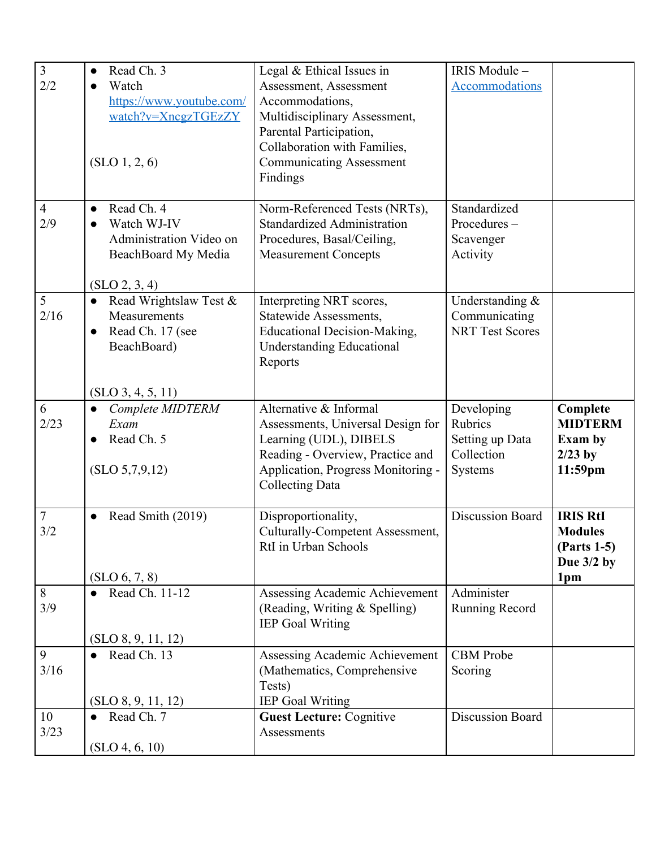| $\overline{3}$ | Read Ch. 3<br>$\bullet$             | Legal & Ethical Issues in           | IRIS Module-            |                 |
|----------------|-------------------------------------|-------------------------------------|-------------------------|-----------------|
| 2/2            | Watch                               | Assessment, Assessment              | <b>Accommodations</b>   |                 |
|                | https://www.youtube.com/            | Accommodations,                     |                         |                 |
|                | watch?v=XncgzTGEzZY                 | Multidisciplinary Assessment,       |                         |                 |
|                |                                     | Parental Participation,             |                         |                 |
|                |                                     | Collaboration with Families,        |                         |                 |
|                | (SLO 1, 2, 6)                       | <b>Communicating Assessment</b>     |                         |                 |
|                |                                     | Findings                            |                         |                 |
|                |                                     |                                     |                         |                 |
| $\overline{4}$ | Read Ch. 4<br>$\bullet$             | Norm-Referenced Tests (NRTs),       | Standardized            |                 |
| 2/9            | Watch WJ-IV<br>$\bullet$            | <b>Standardized Administration</b>  | Procedures-             |                 |
|                | Administration Video on             | Procedures, Basal/Ceiling,          | Scavenger               |                 |
|                | BeachBoard My Media                 | <b>Measurement Concepts</b>         | Activity                |                 |
|                |                                     |                                     |                         |                 |
|                | (SLO 2, 3, 4)                       |                                     |                         |                 |
| 5              | Read Wrightslaw Test &<br>$\bullet$ | Interpreting NRT scores,            | Understanding $&$       |                 |
| 2/16           | Measurements                        | Statewide Assessments,              | Communicating           |                 |
|                | Read Ch. 17 (see<br>$\bullet$       | <b>Educational Decision-Making,</b> | <b>NRT Test Scores</b>  |                 |
|                | BeachBoard)                         | <b>Understanding Educational</b>    |                         |                 |
|                |                                     | Reports                             |                         |                 |
|                |                                     |                                     |                         |                 |
|                | (SLO 3, 4, 5, 11)                   |                                     |                         |                 |
| 6              | Complete MIDTERM<br>$\bullet$       | Alternative & Informal              | Developing              | Complete        |
| 2/23           | Exam                                | Assessments, Universal Design for   | Rubrics                 | <b>MIDTERM</b>  |
|                | Read Ch. 5<br>$\bullet$             | Learning (UDL), DIBELS              | Setting up Data         | <b>Exam by</b>  |
|                |                                     | Reading - Overview, Practice and    | Collection              | $2/23$ by       |
|                | (SLO 5,7,9,12)                      | Application, Progress Monitoring -  | Systems                 | 11:59pm         |
|                |                                     | <b>Collecting Data</b>              |                         |                 |
| $\tau$         | Read Smith (2019)<br>$\bullet$      | Disproportionality,                 | Discussion Board        | <b>IRIS RtI</b> |
| 3/2            |                                     | Culturally-Competent Assessment,    |                         | <b>Modules</b>  |
|                |                                     | RtI in Urban Schools                |                         | (Parts 1-5)     |
|                |                                     |                                     |                         | Due $3/2$ by    |
|                | (SLO 6, 7, 8)                       |                                     |                         | 1pm             |
| 8              | Read Ch. 11-12                      | Assessing Academic Achievement      | Administer              |                 |
| 3/9            |                                     | (Reading, Writing & Spelling)       | Running Record          |                 |
|                |                                     | <b>IEP Goal Writing</b>             |                         |                 |
|                | (SLO 8, 9, 11, 12)                  |                                     |                         |                 |
| 9              | Read Ch. 13                         | Assessing Academic Achievement      | <b>CBM</b> Probe        |                 |
| 3/16           |                                     | (Mathematics, Comprehensive         | Scoring                 |                 |
|                |                                     | Tests)                              |                         |                 |
|                | (SLO 8, 9, 11, 12)                  | <b>IEP Goal Writing</b>             |                         |                 |
| 10             | Read Ch. 7                          | <b>Guest Lecture: Cognitive</b>     | <b>Discussion Board</b> |                 |
| 3/23           |                                     | Assessments                         |                         |                 |
|                | (SLO 4, 6, 10)                      |                                     |                         |                 |